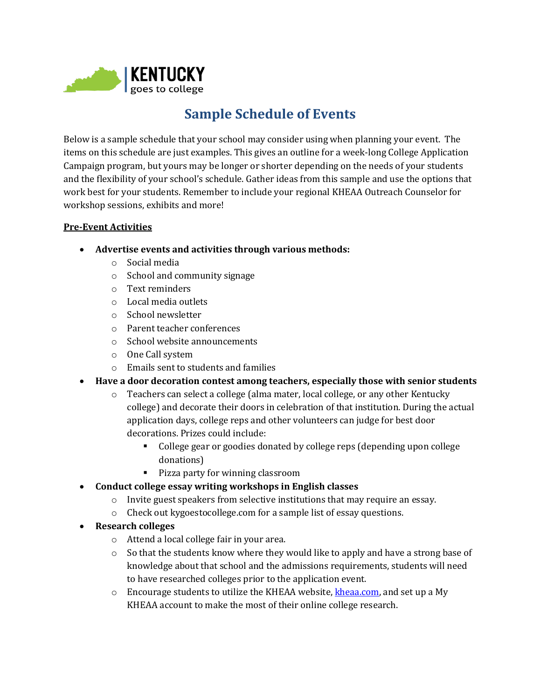

# **Sample Schedule of Events**

Below is a sample schedule that your school may consider using when planning your event. The items on this schedule are just examples. This gives an outline for a week-long College Application Campaign program, but yours may be longer or shorter depending on the needs of your students and the flexibility of your school's schedule. Gather ideas from this sample and use the options that work best for your students. Remember to include your regional KHEAA Outreach Counselor for workshop sessions, exhibits and more!

## **Pre-Event Activities**

- **Advertise events and activities through various methods:**
	- o Social media
	- o School and community signage
	- o Text reminders
	- o Local media outlets
	- o School newsletter
	- o Parent teacher conferences
	- o School website announcements
	- o One Call system
	- o Emails sent to students and families
- **Have a door decoration contest among teachers, especially those with senior students**
	- $\circ$  Teachers can select a college (alma mater, local college, or any other Kentucky college) and decorate their doors in celebration of that institution. During the actual application days, college reps and other volunteers can judge for best door decorations. Prizes could include:
		- College gear or goodies donated by college reps (depending upon college donations)
		- Pizza party for winning classroom
- **Conduct college essay writing workshops in English classes**
	- $\circ$  Invite guest speakers from selective institutions that may require an essay.
	- o Check out kygoestocollege.com for a sample list of essay questions.
- **Research colleges**
	- o Attend a local college fair in your area.
	- $\circ$  So that the students know where they would like to apply and have a strong base of knowledge about that school and the admissions requirements, students will need to have researched colleges prior to the application event.
	- $\circ$  Encourage students to utilize the KHEAA website, [kheaa.com,](http://www.kheaa.com/) and set up a My KHEAA account to make the most of their online college research.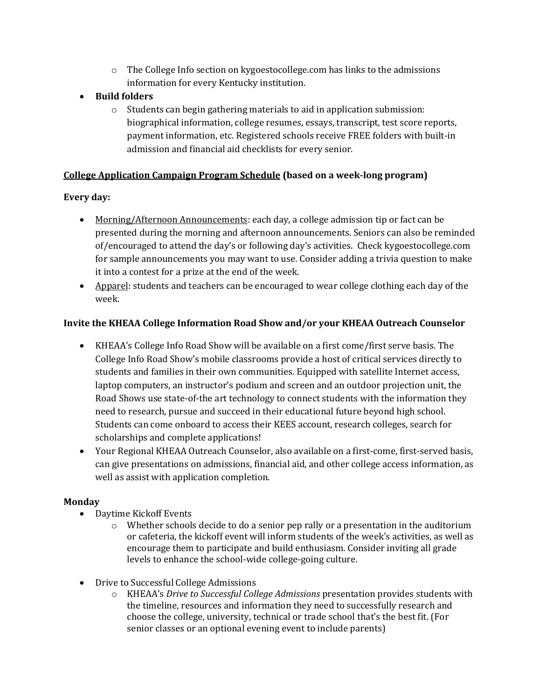- $\circ$  The College Info section on kygoestocollege.com has links to the admissions information for every Kentucky institution.
- **Build folders**
	- $\circ$  Students can begin gathering materials to aid in application submission: biographical information, college resumes, essays, transcript, test score reports, payment information, etc. Registered schools receive FREE folders with built-in admission and financial aid checklists for every senior.

## **College Application Campaign Program Schedule (based on a week-long program)**

## **Every day:**

- Morning/Afternoon Announcements: each day, a college admission tip or fact can be presented during the morning and afternoon announcements. Seniors can also be reminded of/encouraged to attend the day's or following day's activities. Check kygoestocollege.com for sample announcements you may want to use. Consider adding a trivia question to make it into a contest for a prize at the end of the week.
- Apparel: students and teachers can be encouraged to wear college clothing each day of the week.

## **Invite the KHEAA College Information Road Show and/or your KHEAA Outreach Counselor**

- KHEAA's College Info Road Show will be available on a first come/first serve basis. The College Info Road Show's mobile classrooms provide a host of critical services directly to students and families in their own communities. Equipped with satellite Internet access, laptop computers, an instructor's podium and screen and an outdoor projection unit, the Road Shows use state-of-the art technology to connect students with the information they need to research, pursue and succeed in their educational future beyond high school. Students can come onboard to access their KEES account, research colleges, search for scholarships and complete applications!
- Your Regional KHEAA Outreach Counselor, also available on a first-come, first-served basis, can give presentations on admissions, financial aid, and other college access information, as well as assist with application completion.

## **Monday**

- Daytime Kickoff Events
	- o Whether schools decide to do a senior pep rally or a presentation in the auditorium or cafeteria, the kickoff event will inform students of the week's activities, as well as encourage them to participate and build enthusiasm. Consider inviting all grade levels to enhance the school-wide college-going culture.
- Drive to Successful College Admissions
	- o KHEAA's *Drive to Successful College Admissions* presentation provides students with the timeline, resources and information they need to successfully research and choose the college, university, technical or trade school that's the best fit. (For senior classes or an optional evening event to include parents)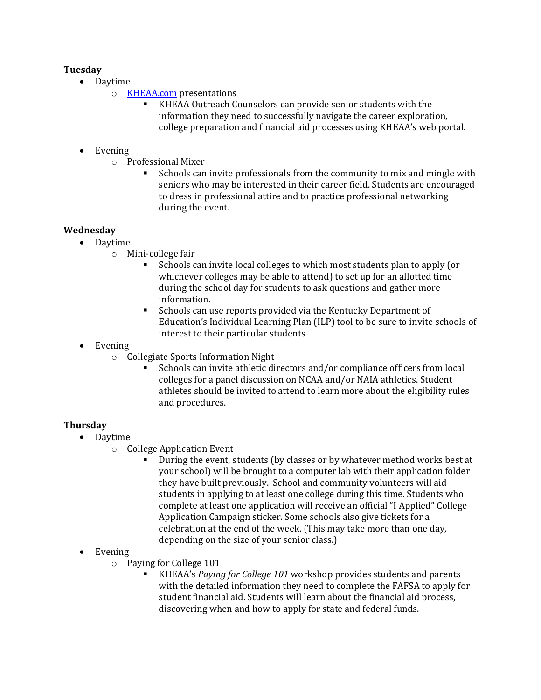## **Tuesday**

- Daytime
	- o [KHEAA.com](http://www.kheaa.com/) presentations
		- KHEAA Outreach Counselors can provide senior students with the information they need to successfully navigate the career exploration, college preparation and financial aid processes using KHEAA's web portal.

## • Evening

- o Professional Mixer
	- Schools can invite professionals from the community to mix and mingle with seniors who may be interested in their career field. Students are encouraged to dress in professional attire and to practice professional networking during the event.

## **Wednesday**

- Daytime
	- o Mini-college fair
		- Schools can invite local colleges to which most students plan to apply (or whichever colleges may be able to attend) to set up for an allotted time during the school day for students to ask questions and gather more information.
		- Schools can use reports provided via the Kentucky Department of Education's Individual Learning Plan (ILP) tool to be sure to invite schools of interest to their particular students
- Evening
	- o Collegiate Sports Information Night
		- Schools can invite athletic directors and/or compliance officers from local colleges for a panel discussion on NCAA and/or NAIA athletics. Student athletes should be invited to attend to learn more about the eligibility rules and procedures.

## **Thursday**

- Daytime
	- o College Application Event
		- During the event, students (by classes or by whatever method works best at your school) will be brought to a computer lab with their application folder they have built previously. School and community volunteers will aid students in applying to at least one college during this time. Students who complete at least one application will receive an official "I Applied" College Application Campaign sticker. Some schools also give tickets for a celebration at the end of the week. (This may take more than one day, depending on the size of your senior class.)
- Evening
	- o Paying for College 101
		- KHEAA's *Paying for College 101* workshop provides students and parents with the detailed information they need to complete the FAFSA to apply for student financial aid. Students will learn about the financial aid process, discovering when and how to apply for state and federal funds.